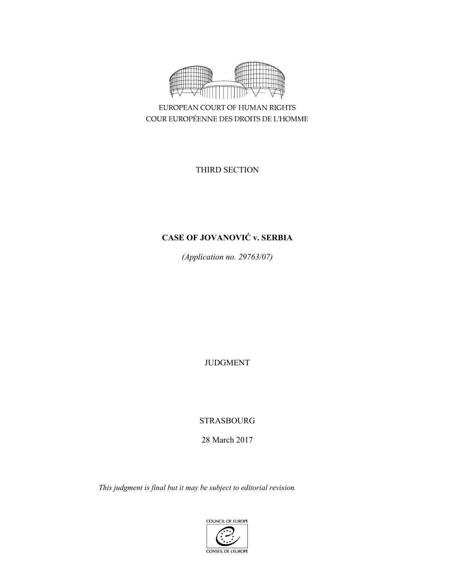

EUROPEAN COURT OF HUMAN RIGHTS COUR EUROPÉENNE DES DROITS DE L'HOMME

THIRD SECTION

# **CASE OF JOVANOVIĆ v. SERBIA**

*(Application no. 29763/07)* 

JUDGMENT

STRASBOURG

28 March 2017

*This judgment is final but it may be subject to editorial revision.*

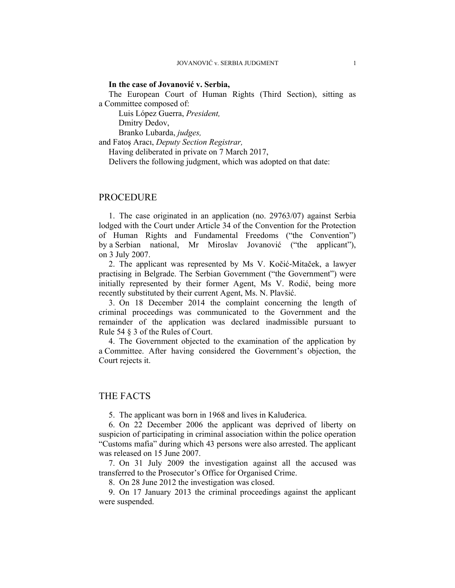#### **In the case of Jovanović v. Serbia,**

The European Court of Human Rights (Third Section), sitting as a Committee composed of:

 Luis López Guerra, *President,*  Dmitry Dedov,

Branko Lubarda, *judges,*

and Fatoş Aracı, *Deputy Section Registrar,*

Having deliberated in private on 7 March 2017,

Delivers the following judgment, which was adopted on that date:

# PROCEDURE

1. The case originated in an application (no. 29763/07) against Serbia lodged with the Court under Article 34 of the Convention for the Protection of Human Rights and Fundamental Freedoms ("the Convention") by a Serbian national, Mr Miroslav Jovanović ("the applicant"), on 3 July 2007.

2. The applicant was represented by Ms V. Kočić-Mitaček, a lawyer practising in Belgrade. The Serbian Government ("the Government") were initially represented by their former Agent, Ms V. Rodić, being more recently substituted by their current Agent, Ms. N. Plavšić.

3. On 18 December 2014 the complaint concerning the length of criminal proceedings was communicated to the Government and the remainder of the application was declared inadmissible pursuant to Rule 54 § 3 of the Rules of Court.

4. The Government objected to the examination of the application by a Committee. After having considered the Government's objection, the Court rejects it.

### THE FACTS

5. The applicant was born in 1968 and lives in Kaluđerica.

6. On 22 December 2006 the applicant was deprived of liberty on suspicion of participating in criminal association within the police operation "Customs mafia" during which 43 persons were also arrested. The applicant was released on 15 June 2007.

7. On 31 July 2009 the investigation against all the accused was transferred to the Prosecutor's Office for Organised Crime.

8. On 28 June 2012 the investigation was closed.

9. On 17 January 2013 the criminal proceedings against the applicant were suspended.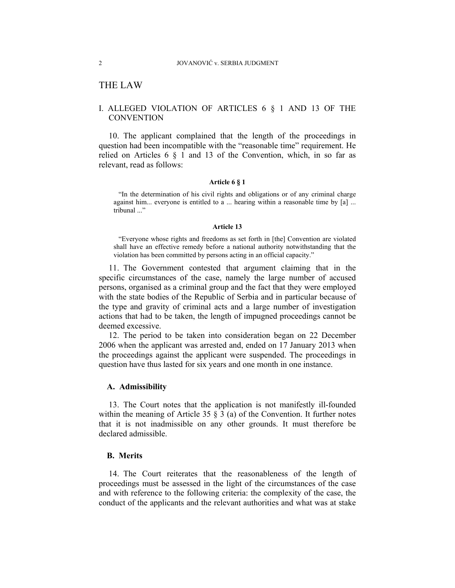# THE LAW

## I. ALLEGED VIOLATION OF ARTICLES 6 § 1 AND 13 OF THE **CONVENTION**

10. The applicant complained that the length of the proceedings in question had been incompatible with the "reasonable time" requirement. He relied on Articles  $6 \tS 1$  and  $13$  of the Convention, which, in so far as relevant, read as follows:

#### **Article 6 § 1**

"In the determination of his civil rights and obligations or of any criminal charge against him... everyone is entitled to a ... hearing within a reasonable time by [a] ... tribunal ..."

#### **Article 13**

"Everyone whose rights and freedoms as set forth in [the] Convention are violated shall have an effective remedy before a national authority notwithstanding that the violation has been committed by persons acting in an official capacity."

11. The Government contested that argument claiming that in the specific circumstances of the case, namely the large number of accused persons, organised as a criminal group and the fact that they were employed with the state bodies of the Republic of Serbia and in particular because of the type and gravity of criminal acts and a large number of investigation actions that had to be taken, the length of impugned proceedings cannot be deemed excessive.

12. The period to be taken into consideration began on 22 December 2006 when the applicant was arrested and, ended on 17 January 2013 when the proceedings against the applicant were suspended. The proceedings in question have thus lasted for six years and one month in one instance.

#### **A. Admissibility**

13. The Court notes that the application is not manifestly ill-founded within the meaning of Article 35  $\S$  3 (a) of the Convention. It further notes that it is not inadmissible on any other grounds. It must therefore be declared admissible.

#### **B. Merits**

14. The Court reiterates that the reasonableness of the length of proceedings must be assessed in the light of the circumstances of the case and with reference to the following criteria: the complexity of the case, the conduct of the applicants and the relevant authorities and what was at stake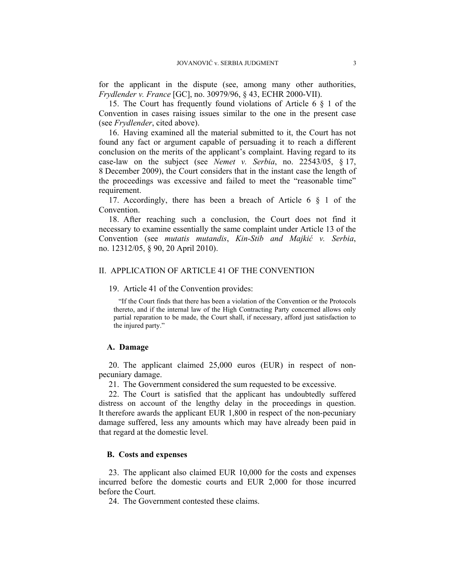for the applicant in the dispute (see, among many other authorities, *Frydlender v. France* [GC], no. 30979/96, § 43, ECHR 2000-VII).

15. The Court has frequently found violations of Article 6 § 1 of the Convention in cases raising issues similar to the one in the present case (see *Frydlender*, cited above).

16. Having examined all the material submitted to it, the Court has not found any fact or argument capable of persuading it to reach a different conclusion on the merits of the applicant's complaint. Having regard to its case-law on the subject (see *Nemet v. Serbia*, no. 22543/05, § 17, 8 December 2009), the Court considers that in the instant case the length of the proceedings was excessive and failed to meet the "reasonable time" requirement.

17. Accordingly, there has been a breach of Article 6 § 1 of the Convention.

18. After reaching such a conclusion, the Court does not find it necessary to examine essentially the same complaint under Article 13 of the Convention (see *mutatis mutandis*, *Kin-Stib and Majkić v. Serbia*, no. 12312/05, § 90, 20 April 2010).

#### II. APPLICATION OF ARTICLE 41 OF THE CONVENTION

#### 19. Article 41 of the Convention provides:

"If the Court finds that there has been a violation of the Convention or the Protocols thereto, and if the internal law of the High Contracting Party concerned allows only partial reparation to be made, the Court shall, if necessary, afford just satisfaction to the injured party."

#### **A. Damage**

20. The applicant claimed 25,000 euros (EUR) in respect of nonpecuniary damage.

21. The Government considered the sum requested to be excessive.

22. The Court is satisfied that the applicant has undoubtedly suffered distress on account of the lengthy delay in the proceedings in question. It therefore awards the applicant EUR 1,800 in respect of the non-pecuniary damage suffered, less any amounts which may have already been paid in that regard at the domestic level.

#### **B. Costs and expenses**

23. The applicant also claimed EUR 10,000 for the costs and expenses incurred before the domestic courts and EUR 2,000 for those incurred before the Court.

24. The Government contested these claims.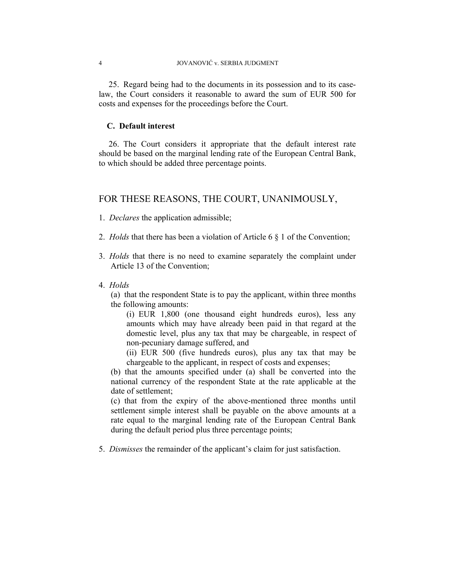25. Regard being had to the documents in its possession and to its caselaw, the Court considers it reasonable to award the sum of EUR 500 for costs and expenses for the proceedings before the Court.

#### **C. Default interest**

26. The Court considers it appropriate that the default interest rate should be based on the marginal lending rate of the European Central Bank, to which should be added three percentage points.

# FOR THESE REASONS, THE COURT, UNANIMOUSLY,

- 1. *Declares* the application admissible;
- 2. *Holds* that there has been a violation of Article 6 § 1 of the Convention;
- 3. *Holds* that there is no need to examine separately the complaint under Article 13 of the Convention;
- 4. *Holds*

(a) that the respondent State is to pay the applicant, within three months the following amounts:

(i) EUR 1,800 (one thousand eight hundreds euros), less any amounts which may have already been paid in that regard at the domestic level, plus any tax that may be chargeable, in respect of non-pecuniary damage suffered, and

(ii) EUR 500 (five hundreds euros), plus any tax that may be chargeable to the applicant, in respect of costs and expenses;

(b) that the amounts specified under (a) shall be converted into the national currency of the respondent State at the rate applicable at the date of settlement;

(c) that from the expiry of the above-mentioned three months until settlement simple interest shall be payable on the above amounts at a rate equal to the marginal lending rate of the European Central Bank during the default period plus three percentage points;

5. *Dismisses* the remainder of the applicant's claim for just satisfaction.